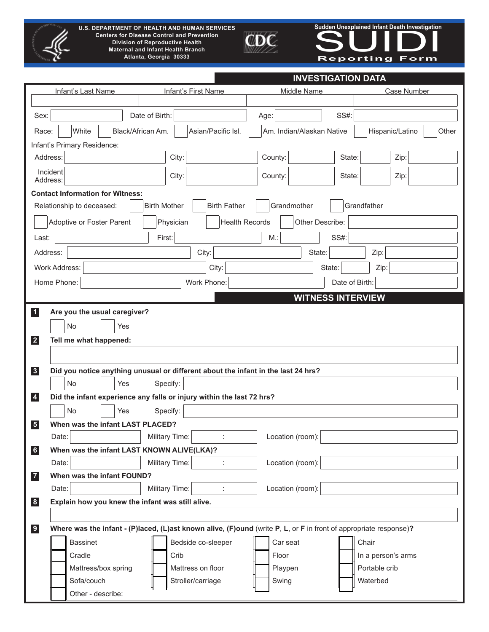

**U.S. DEPARTMENT OF HEALTH AND HUMAN SERVICES Centers for Disease Control and Prevention Division of Reproductive Health Maternal and Infant Health Branch Atlanta, Georgia 30333**



Sudden Unexplained Infant Death Investigation<br> **Reporting Form Sudden Unexplained Infant Death Investigation**

| Infant's Last Name                                           | Infant's First Name                                                               | Middle Name                                                                                                       | Case Number              |
|--------------------------------------------------------------|-----------------------------------------------------------------------------------|-------------------------------------------------------------------------------------------------------------------|--------------------------|
| Sex:                                                         | Date of Birth:                                                                    | <b>SS#:</b><br>Age:                                                                                               |                          |
| White                                                        |                                                                                   |                                                                                                                   |                          |
| Race:                                                        | Black/African Am.<br>Asian/Pacific Isl.                                           | Am. Indian/Alaskan Native                                                                                         | Hispanic/Latino<br>Other |
| Infant's Primary Residence:<br>Address:                      | City:                                                                             | County:<br>State:                                                                                                 | Zip:                     |
| Incident                                                     |                                                                                   |                                                                                                                   |                          |
| Address:                                                     | City:                                                                             | County:<br>State:                                                                                                 | Zip:                     |
| <b>Contact Information for Witness:</b>                      |                                                                                   |                                                                                                                   |                          |
| Relationship to deceased:                                    | <b>Birth Father</b><br><b>Birth Mother</b>                                        | Grandmother                                                                                                       | Grandfather              |
| Adoptive or Foster Parent                                    | Physician<br><b>Health Records</b>                                                | Other Describe:                                                                                                   |                          |
| Last:                                                        | First:                                                                            | $M$ .:<br><b>SS#:</b>                                                                                             |                          |
| Address:                                                     | City:                                                                             | State:                                                                                                            | Zip:                     |
| Work Address:                                                | City:                                                                             | State:                                                                                                            | Zip:                     |
| Home Phone:                                                  | Work Phone:                                                                       | Date of Birth:                                                                                                    |                          |
|                                                              |                                                                                   | <b>WITNESS INTERVIEW</b>                                                                                          |                          |
| $\overline{1}$<br>Are you the usual caregiver?               |                                                                                   |                                                                                                                   |                          |
| No<br>Yes                                                    |                                                                                   |                                                                                                                   |                          |
| $\vert$ 2<br>Tell me what happened:                          |                                                                                   |                                                                                                                   |                          |
|                                                              |                                                                                   |                                                                                                                   |                          |
| 3                                                            | Did you notice anything unusual or different about the infant in the last 24 hrs? |                                                                                                                   |                          |
| No<br>Yes                                                    | Specify:                                                                          |                                                                                                                   |                          |
| $\overline{\mathbf{4}}$                                      | Did the infant experience any falls or injury within the last 72 hrs?             |                                                                                                                   |                          |
| <b>No</b><br>Yes                                             | Specify:                                                                          |                                                                                                                   |                          |
| $\overline{\mathbf{5}}$<br>When was the infant LAST PLACED?  |                                                                                   |                                                                                                                   |                          |
| Date:                                                        | Military Time:<br>÷                                                               | Location (room):                                                                                                  |                          |
| When was the infant LAST KNOWN ALIVE(LKA)?<br>$6\phantom{a}$ |                                                                                   |                                                                                                                   |                          |
| Date:                                                        | Military Time:                                                                    | Location (room):                                                                                                  |                          |
| When was the infant FOUND?<br>$\boxed{7}$                    |                                                                                   |                                                                                                                   |                          |
| Date:                                                        | Military Time:<br>t                                                               | Location (room):                                                                                                  |                          |
| Explain how you knew the infant was still alive.<br> 8       |                                                                                   |                                                                                                                   |                          |
|                                                              |                                                                                   |                                                                                                                   |                          |
| 9                                                            |                                                                                   | Where was the infant - (P)laced, (L)ast known alive, (F)ound (write P, L, or F in front of appropriate response)? |                          |
| <b>Bassinet</b>                                              | Bedside co-sleeper                                                                | Car seat                                                                                                          | Chair                    |
| Cradle                                                       | Crib                                                                              | Floor                                                                                                             | In a person's arms       |
| Mattress/box spring                                          | Mattress on floor                                                                 | Playpen                                                                                                           | Portable crib            |
| Sofa/couch<br>Other - describe:                              | Stroller/carriage                                                                 | Swing                                                                                                             | Waterbed                 |
|                                                              |                                                                                   |                                                                                                                   |                          |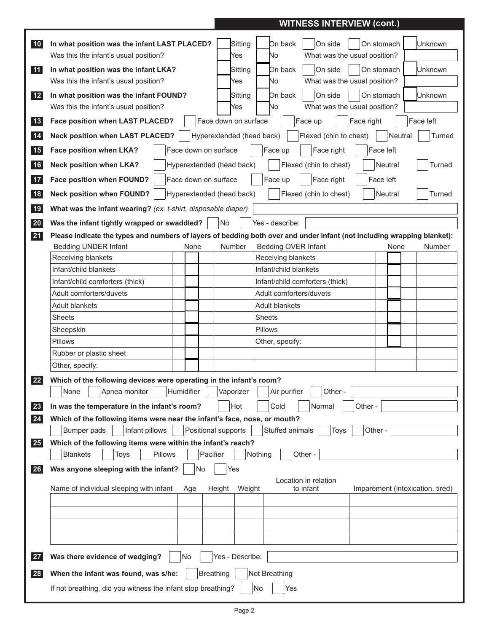## **WITNESS INTERVIEW (cont.)**

| 10                | In what position was the infant LAST PLACED?<br>Was this the infant's usual position?                                   | Sitting<br>Yes                                    | On back<br>On side<br>No          | On stomach<br>What was the usual position? | Unknown                          |
|-------------------|-------------------------------------------------------------------------------------------------------------------------|---------------------------------------------------|-----------------------------------|--------------------------------------------|----------------------------------|
|                   |                                                                                                                         |                                                   |                                   |                                            |                                  |
| 11                | In what position was the infant LKA?<br>Was this the infant's usual position?                                           | Sitting<br>Yes                                    | On side<br>On back<br>No          | On stomach<br>What was the usual position? | Unknown                          |
| $12$              | In what position was the infant FOUND?                                                                                  | Sitting                                           | On side<br>On back                | On stomach                                 | Unknown                          |
|                   | Was this the infant's usual position?                                                                                   | Yes                                               | No                                | What was the usual position?               |                                  |
|                   |                                                                                                                         |                                                   |                                   |                                            |                                  |
| 13<br>14          | Face position when LAST PLACED?<br><b>Neck position when LAST PLACED?</b>                                               | Face down on surface<br>Hyperextended (head back) | Face up<br>Flexed (chin to chest) | Face right<br>Neutral                      | Face left<br>Turned              |
|                   |                                                                                                                         |                                                   |                                   |                                            |                                  |
| 15                | Face position when LKA?<br>Face down on surface                                                                         |                                                   | Face up<br>Face right             | Face left                                  |                                  |
| 16                | <b>Neck position when LKA?</b><br>Hyperextended (head back)                                                             |                                                   | Flexed (chin to chest)            | Neutral                                    | Turned                           |
| 17                | Face position when FOUND?<br>Face down on surface                                                                       |                                                   | Face right<br>Face up             | Face left                                  |                                  |
| 18                | <b>Neck position when FOUND?</b><br>Hyperextended (head back)                                                           |                                                   | Flexed (chin to chest)            | Neutral                                    | Turned                           |
| 19                | What was the infant wearing? (ex. t-shirt, disposable diaper)                                                           |                                                   |                                   |                                            |                                  |
| 20                | Was the infant tightly wrapped or swaddled?                                                                             | No.                                               | Yes - describe:                   |                                            |                                  |
| 21                | Please indicate the types and numbers of layers of bedding both over and under infant (not including wrapping blanket): |                                                   |                                   |                                            |                                  |
|                   | <b>Bedding UNDER Infant</b><br>None                                                                                     | <b>Number</b>                                     | Bedding OVER Infant               | None                                       | Number                           |
|                   | Receiving blankets                                                                                                      |                                                   | Receiving blankets                |                                            |                                  |
|                   | Infant/child blankets                                                                                                   |                                                   | Infant/child blankets             |                                            |                                  |
|                   | Infant/child comforters (thick)                                                                                         |                                                   | Infant/child comforters (thick)   |                                            |                                  |
|                   | Adult comforters/duvets                                                                                                 |                                                   | Adult comforters/duvets           |                                            |                                  |
|                   | Adult blankets                                                                                                          |                                                   | Adult blankets                    |                                            |                                  |
|                   | Sheets                                                                                                                  |                                                   | <b>Sheets</b>                     |                                            |                                  |
|                   |                                                                                                                         |                                                   | <b>Pillows</b>                    |                                            |                                  |
|                   | Sheepskin                                                                                                               |                                                   |                                   |                                            |                                  |
|                   | Pillows                                                                                                                 |                                                   | Other, specify:                   |                                            |                                  |
|                   | Rubber or plastic sheet                                                                                                 |                                                   |                                   |                                            |                                  |
|                   | Other, specify:                                                                                                         |                                                   |                                   |                                            |                                  |
| $22 \overline{)}$ | Which of the following devices were operating in the infant's room?                                                     |                                                   |                                   |                                            |                                  |
|                   | Apnea monitor<br>Humidifier<br>None                                                                                     | Vaporizer                                         | Air purifier<br>Other -           |                                            |                                  |
| 23                | In was the temperature in the infant's room?                                                                            | Hot                                               | Cold<br>Normal                    | Other -                                    |                                  |
| 24                | Which of the following items were near the infant's face, nose, or mouth?                                               |                                                   |                                   |                                            |                                  |
|                   | Infant pillows<br>Bumper pads                                                                                           | Positional supports                               | Stuffed animals<br>Toys           | Other -                                    |                                  |
| 25                | Which of the following items were within the infant's reach?                                                            |                                                   |                                   |                                            |                                  |
|                   | Pillows<br>Pacifier<br><b>Blankets</b><br>Toys                                                                          |                                                   | Nothing<br>Other -                |                                            |                                  |
| 26                | Was anyone sleeping with the infant?<br>No                                                                              | Yes                                               |                                   |                                            |                                  |
|                   | Name of individual sleeping with infant<br>Age                                                                          | Height<br>Weight                                  | Location in relation<br>to infant |                                            | Imparement (intoxication, tired) |
|                   |                                                                                                                         |                                                   |                                   |                                            |                                  |
|                   |                                                                                                                         |                                                   |                                   |                                            |                                  |
|                   |                                                                                                                         |                                                   |                                   |                                            |                                  |
|                   |                                                                                                                         |                                                   |                                   |                                            |                                  |
|                   |                                                                                                                         |                                                   |                                   |                                            |                                  |
| <b>27</b>         | Was there evidence of wedging?<br>No                                                                                    | Yes - Describe:                                   |                                   |                                            |                                  |
| 28                | When the infant was found, was s/he:                                                                                    | <b>Breathing</b>                                  | Not Breathing                     |                                            |                                  |
|                   |                                                                                                                         |                                                   | No                                |                                            |                                  |
|                   | If not breathing, did you witness the infant stop breathing?                                                            |                                                   | Yes                               |                                            |                                  |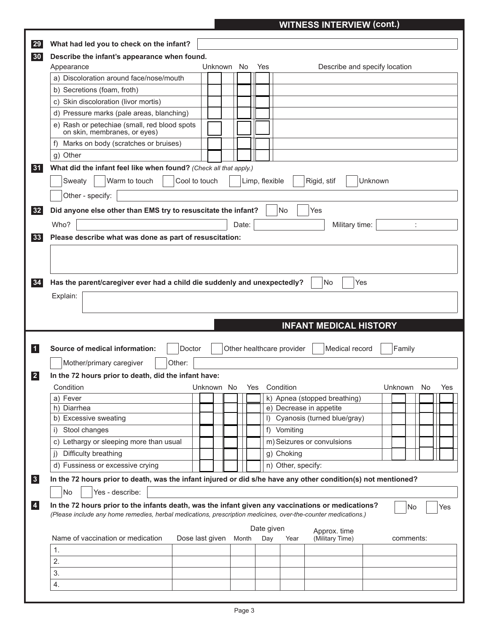## **WITNESS INTERVIEW (cont.)**

| Describe the infant's appearance when found.                                                                                                                                                                                                                                                                                                                                                                                  |                          |       |                |                           |                                                           |                               |
|-------------------------------------------------------------------------------------------------------------------------------------------------------------------------------------------------------------------------------------------------------------------------------------------------------------------------------------------------------------------------------------------------------------------------------|--------------------------|-------|----------------|---------------------------|-----------------------------------------------------------|-------------------------------|
| Appearance                                                                                                                                                                                                                                                                                                                                                                                                                    | Unknown No               |       | Yes            |                           |                                                           | Describe and specify location |
| a) Discoloration around face/nose/mouth                                                                                                                                                                                                                                                                                                                                                                                       |                          |       |                |                           |                                                           |                               |
| b) Secretions (foam, froth)                                                                                                                                                                                                                                                                                                                                                                                                   |                          |       |                |                           |                                                           |                               |
| c) Skin discoloration (livor mortis)                                                                                                                                                                                                                                                                                                                                                                                          |                          |       |                |                           |                                                           |                               |
| d) Pressure marks (pale areas, blanching)                                                                                                                                                                                                                                                                                                                                                                                     |                          |       |                |                           |                                                           |                               |
| e) Rash or petechiae (small, red blood spots<br>on skin, membranes, or eyes)                                                                                                                                                                                                                                                                                                                                                  |                          |       |                |                           |                                                           |                               |
| Marks on body (scratches or bruises)<br>$\ddagger$                                                                                                                                                                                                                                                                                                                                                                            |                          |       |                |                           |                                                           |                               |
| g) Other                                                                                                                                                                                                                                                                                                                                                                                                                      |                          |       |                |                           |                                                           |                               |
| What did the infant feel like when found? (Check all that apply.)                                                                                                                                                                                                                                                                                                                                                             |                          |       |                |                           |                                                           |                               |
| Warm to touch<br>Sweaty                                                                                                                                                                                                                                                                                                                                                                                                       | Cool to touch            |       | Limp, flexible |                           | Rigid, stif                                               | Unknown                       |
|                                                                                                                                                                                                                                                                                                                                                                                                                               |                          |       |                |                           |                                                           |                               |
| Other - specify:                                                                                                                                                                                                                                                                                                                                                                                                              |                          |       |                |                           |                                                           |                               |
| Did anyone else other than EMS try to resuscitate the infant?                                                                                                                                                                                                                                                                                                                                                                 |                          |       |                | No                        | Yes                                                       |                               |
| Who?                                                                                                                                                                                                                                                                                                                                                                                                                          |                          | Date: |                |                           | Military time:                                            |                               |
| Please describe what was done as part of resuscitation:                                                                                                                                                                                                                                                                                                                                                                       |                          |       |                |                           |                                                           |                               |
|                                                                                                                                                                                                                                                                                                                                                                                                                               |                          |       |                |                           |                                                           |                               |
|                                                                                                                                                                                                                                                                                                                                                                                                                               |                          |       |                |                           |                                                           |                               |
|                                                                                                                                                                                                                                                                                                                                                                                                                               |                          |       |                |                           |                                                           |                               |
|                                                                                                                                                                                                                                                                                                                                                                                                                               |                          |       |                |                           | <b>INFANT MEDICAL HISTORY</b>                             |                               |
| Doctor                                                                                                                                                                                                                                                                                                                                                                                                                        |                          |       |                | Other healthcare provider | Medical record                                            | Family                        |
|                                                                                                                                                                                                                                                                                                                                                                                                                               |                          |       |                |                           |                                                           |                               |
| Other:<br>Mother/primary caregiver                                                                                                                                                                                                                                                                                                                                                                                            |                          |       |                |                           |                                                           |                               |
|                                                                                                                                                                                                                                                                                                                                                                                                                               |                          |       |                |                           |                                                           |                               |
| Condition                                                                                                                                                                                                                                                                                                                                                                                                                     | Unknown No Yes Condition |       |                |                           |                                                           | Unknown No Yes                |
| a) Fever<br>h) Diarrhea                                                                                                                                                                                                                                                                                                                                                                                                       |                          |       |                |                           | k) Apnea (stopped breathing)                              |                               |
| b) Excessive sweating                                                                                                                                                                                                                                                                                                                                                                                                         |                          |       |                |                           | e) Decrease in appetite<br>I) Cyanosis (turned blue/gray) |                               |
| Stool changes<br>i)                                                                                                                                                                                                                                                                                                                                                                                                           |                          |       |                | f) Vomiting               |                                                           |                               |
|                                                                                                                                                                                                                                                                                                                                                                                                                               |                          |       |                |                           |                                                           |                               |
| c) Lethargy or sleeping more than usual                                                                                                                                                                                                                                                                                                                                                                                       |                          |       |                |                           | m) Seizures or convulsions                                |                               |
| Difficulty breathing<br>$\vert$ )                                                                                                                                                                                                                                                                                                                                                                                             |                          |       |                | g) Choking                |                                                           |                               |
| d) Fussiness or excessive crying                                                                                                                                                                                                                                                                                                                                                                                              |                          |       |                | n) Other, specify:        |                                                           |                               |
|                                                                                                                                                                                                                                                                                                                                                                                                                               |                          |       |                |                           |                                                           |                               |
| Yes - describe:<br>No.                                                                                                                                                                                                                                                                                                                                                                                                        |                          |       |                |                           |                                                           |                               |
|                                                                                                                                                                                                                                                                                                                                                                                                                               |                          |       |                |                           |                                                           | No                            |
|                                                                                                                                                                                                                                                                                                                                                                                                                               |                          |       |                |                           |                                                           |                               |
|                                                                                                                                                                                                                                                                                                                                                                                                                               |                          |       | Date given     |                           |                                                           |                               |
| Name of vaccination or medication                                                                                                                                                                                                                                                                                                                                                                                             | Dose last given          | Month | Day            | Year                      | Approx. time<br>(Military Time)                           | comments:                     |
| 1.                                                                                                                                                                                                                                                                                                                                                                                                                            |                          |       |                |                           |                                                           |                               |
| Source of medical information:<br>In the 72 hours prior to death, did the infant have:<br>In the 72 hours prior to death, was the infant injured or did s/he have any other condition(s) not mentioned?<br>In the 72 hours prior to the infants death, was the infant given any vaccinations or medications?<br>(Please include any home remedies, herbal medications, prescription medicines, over-the-counter medications.) |                          |       |                |                           |                                                           |                               |
| 2.<br>3.                                                                                                                                                                                                                                                                                                                                                                                                                      |                          |       |                |                           |                                                           |                               |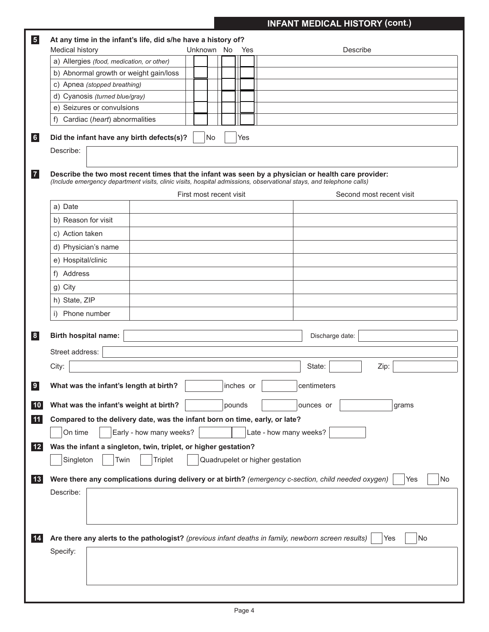# **INFANT MEDICAL HISTORY (cont.)**

| $\sqrt{5}$   | At any time in the infant's life, did s/he have a history of?                                                                                                                                                                                         |                          |
|--------------|-------------------------------------------------------------------------------------------------------------------------------------------------------------------------------------------------------------------------------------------------------|--------------------------|
|              | Medical history<br>Unknown No<br>Yes                                                                                                                                                                                                                  | Describe                 |
|              | a) Allergies (food, medication, or other)                                                                                                                                                                                                             |                          |
|              | b) Abnormal growth or weight gain/loss                                                                                                                                                                                                                |                          |
|              | c) Apnea (stopped breathing)                                                                                                                                                                                                                          |                          |
|              | d) Cyanosis (turned blue/gray)                                                                                                                                                                                                                        |                          |
|              | e) Seizures or convulsions                                                                                                                                                                                                                            |                          |
|              | Cardiac (heart) abnormalities<br>f)                                                                                                                                                                                                                   |                          |
| 6            | Did the infant have any birth defects(s)?<br>No<br>Yes                                                                                                                                                                                                |                          |
|              | Describe:                                                                                                                                                                                                                                             |                          |
| $\mathbf{z}$ | Describe the two most recent times that the infant was seen by a physician or health care provider:<br>(Include emergency department visits, clinic visits, hospital admissions, observational stays, and telephone calls)<br>First most recent visit | Second most recent visit |
|              | a) Date                                                                                                                                                                                                                                               |                          |
|              |                                                                                                                                                                                                                                                       |                          |
|              | b) Reason for visit                                                                                                                                                                                                                                   |                          |
|              | c) Action taken                                                                                                                                                                                                                                       |                          |
|              | d) Physician's name                                                                                                                                                                                                                                   |                          |
|              | e) Hospital/clinic                                                                                                                                                                                                                                    |                          |
|              | f) Address                                                                                                                                                                                                                                            |                          |
|              | g) City                                                                                                                                                                                                                                               |                          |
|              | h) State, ZIP                                                                                                                                                                                                                                         |                          |
|              | Phone number<br>i)                                                                                                                                                                                                                                    |                          |
|              |                                                                                                                                                                                                                                                       |                          |
| 8            | <b>Birth hospital name:</b>                                                                                                                                                                                                                           | Discharge date:          |
|              | Street address:                                                                                                                                                                                                                                       |                          |
|              | City:                                                                                                                                                                                                                                                 | State:<br>Zip:           |
| $\bullet$    | What was the infant's length at birth?<br>inches or                                                                                                                                                                                                   | centimeters              |
| 10           | What was the infant's weight at birth?<br>pounds                                                                                                                                                                                                      | ounces or<br>grams       |
|              | Compared to the delivery date, was the infant born on time, early, or late?                                                                                                                                                                           |                          |
| 11           |                                                                                                                                                                                                                                                       |                          |
|              | Early - how many weeks?<br>Late - how many weeks?<br>On time                                                                                                                                                                                          |                          |
| $12$         | Was the infant a singleton, twin, triplet, or higher gestation?                                                                                                                                                                                       |                          |
|              | Singleton<br>Quadrupelet or higher gestation<br>Twin<br><b>Triplet</b>                                                                                                                                                                                |                          |
| 13           | Were there any complications during delivery or at birth? (emergency c-section, child needed oxygen)                                                                                                                                                  | No<br>Yes                |
|              |                                                                                                                                                                                                                                                       |                          |
|              | Describe:                                                                                                                                                                                                                                             |                          |
| 14           | Are there any alerts to the pathologist? (previous infant deaths in family, newborn screen results)                                                                                                                                                   | No<br>Yes                |
|              | Specify:                                                                                                                                                                                                                                              |                          |
|              |                                                                                                                                                                                                                                                       |                          |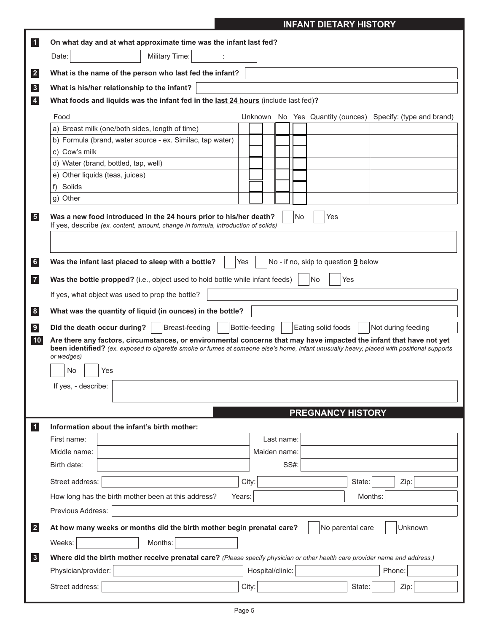|  | <b>INFANT DIETARY HISTORY</b> |  |
|--|-------------------------------|--|
|  |                               |  |

| $\vert$ 1               | On what day and at what approximate time was the infant last fed?                                                                                      |                                                                                                                                                                                                                                                                                              |
|-------------------------|--------------------------------------------------------------------------------------------------------------------------------------------------------|----------------------------------------------------------------------------------------------------------------------------------------------------------------------------------------------------------------------------------------------------------------------------------------------|
|                         | Military Time:<br>Date:                                                                                                                                |                                                                                                                                                                                                                                                                                              |
|                         |                                                                                                                                                        |                                                                                                                                                                                                                                                                                              |
| $\boxed{2}$             | What is the name of the person who last fed the infant?                                                                                                |                                                                                                                                                                                                                                                                                              |
| $\vert 3 \vert$         | What is his/her relationship to the infant?                                                                                                            |                                                                                                                                                                                                                                                                                              |
| $\overline{\mathbf{4}}$ | What foods and liquids was the infant fed in the last 24 hours (include last fed)?                                                                     |                                                                                                                                                                                                                                                                                              |
|                         | Food                                                                                                                                                   | Unknown No Yes Quantity (ounces)<br>Specify: (type and brand)                                                                                                                                                                                                                                |
|                         | a) Breast milk (one/both sides, length of time)                                                                                                        |                                                                                                                                                                                                                                                                                              |
|                         | b) Formula (brand, water source - ex. Similac, tap water)                                                                                              |                                                                                                                                                                                                                                                                                              |
|                         | c) Cow's milk                                                                                                                                          |                                                                                                                                                                                                                                                                                              |
|                         | d) Water (brand, bottled, tap, well)                                                                                                                   |                                                                                                                                                                                                                                                                                              |
|                         | e) Other liquids (teas, juices)                                                                                                                        |                                                                                                                                                                                                                                                                                              |
|                         | f)<br>Solids                                                                                                                                           |                                                                                                                                                                                                                                                                                              |
|                         | g) Other                                                                                                                                               |                                                                                                                                                                                                                                                                                              |
| $\vert 5 \vert$         | Was a new food introduced in the 24 hours prior to his/her death?<br>If yes, describe (ex. content, amount, change in formula, introduction of solids) | No<br>Yes                                                                                                                                                                                                                                                                                    |
| 6                       | Was the infant last placed to sleep with a bottle?<br>Yes                                                                                              | No - if no, skip to question 9 below                                                                                                                                                                                                                                                         |
|                         | Was the bottle propped? (i.e., object used to hold bottle while infant feeds)                                                                          | No<br>Yes                                                                                                                                                                                                                                                                                    |
|                         | If yes, what object was used to prop the bottle?                                                                                                       |                                                                                                                                                                                                                                                                                              |
| 8 <sup>8</sup>          | What was the quantity of liquid (in ounces) in the bottle?                                                                                             |                                                                                                                                                                                                                                                                                              |
| 9                       | Did the death occur during?<br>Breast-feeding                                                                                                          | Bottle-feeding<br>Eating solid foods<br>Not during feeding                                                                                                                                                                                                                                   |
| 10                      | or wedges)<br>No<br>Yes<br>If yes, - describe:                                                                                                         | Are there any factors, circumstances, or environmental concerns that may have impacted the infant that have not yet<br>been identified? (ex. exposed to cigarette smoke or fumes at someone else's home, infant unusually heavy, placed with positional supports<br><b>PREGNANCY HISTORY</b> |
| $\blacksquare$          | Information about the infant's birth mother:                                                                                                           |                                                                                                                                                                                                                                                                                              |
|                         | First name:                                                                                                                                            | Last name:                                                                                                                                                                                                                                                                                   |
|                         | Middle name:                                                                                                                                           | Maiden name:                                                                                                                                                                                                                                                                                 |
|                         | Birth date:                                                                                                                                            | SS#:                                                                                                                                                                                                                                                                                         |
|                         | Street address:<br>City:                                                                                                                               | State:<br>Zip:                                                                                                                                                                                                                                                                               |
|                         | How long has the birth mother been at this address?<br>Years:                                                                                          | Months:                                                                                                                                                                                                                                                                                      |
|                         | Previous Address:                                                                                                                                      |                                                                                                                                                                                                                                                                                              |
| $\boxed{2}$             | At how many weeks or months did the birth mother begin prenatal care?                                                                                  | No parental care<br>Unknown                                                                                                                                                                                                                                                                  |
|                         | Weeks:<br>Months:                                                                                                                                      |                                                                                                                                                                                                                                                                                              |
| 3                       | Where did the birth mother receive prenatal care? (Please specify physician or other health care provider name and address.)                           |                                                                                                                                                                                                                                                                                              |
|                         | Physician/provider:                                                                                                                                    | Hospital/clinic:<br>Phone:                                                                                                                                                                                                                                                                   |
|                         | Street address:<br>City:                                                                                                                               | State:<br>Zip:                                                                                                                                                                                                                                                                               |
|                         |                                                                                                                                                        |                                                                                                                                                                                                                                                                                              |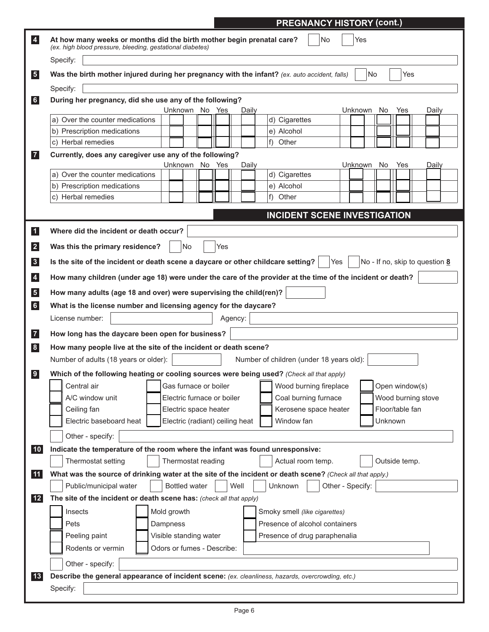|                                                  | <b>PREGNANCY HISTORY (cont.)</b>                                                                                                                |
|--------------------------------------------------|-------------------------------------------------------------------------------------------------------------------------------------------------|
| $\vert 4 \vert$                                  | No<br>Yes<br>At how many weeks or months did the birth mother begin prenatal care?<br>(ex. high blood pressure, bleeding, gestational diabetes) |
|                                                  | Specify:                                                                                                                                        |
| $\sqrt{5}$                                       | Was the birth mother injured during her pregnancy with the infant? (ex. auto accident, falls)<br>No<br>Yes                                      |
|                                                  | Specify:                                                                                                                                        |
| 6                                                | During her pregnancy, did she use any of the following?<br>Unknown No Yes<br>Unknown<br>Yes<br>No.<br>Daily<br>Daily                            |
|                                                  | a) Over the counter medications<br>d) Cigarettes                                                                                                |
|                                                  | e) Alcohol<br>b) Prescription medications                                                                                                       |
|                                                  | $f$ )<br>Other<br>c) Herbal remedies                                                                                                            |
| $\boxed{7}$                                      | Currently, does any caregiver use any of the following?                                                                                         |
|                                                  | Unknown No Yes<br>Daily<br>Unknown<br>No.<br>Yes<br>Daily<br>a) Over the counter medications<br>d) Cigarettes                                   |
|                                                  | b) Prescription medications<br>e) Alcohol                                                                                                       |
|                                                  | c) Herbal remedies<br>f) Other                                                                                                                  |
|                                                  |                                                                                                                                                 |
|                                                  | <b>INCIDENT SCENE INVESTIGATION</b>                                                                                                             |
| $\vert$ 1 $\vert$                                | Where did the incident or death occur?                                                                                                          |
| $\vert$ 2                                        | Yes<br>Was this the primary residence?<br>No                                                                                                    |
| $\vert 3 \vert$                                  | Is the site of the incident or death scene a daycare or other childcare setting?<br>No - If no, skip to question 8<br>Yes                       |
|                                                  | How many children (under age 18) were under the care of the provider at the time of the incident or death?                                      |
| $\overline{\mathbf{4}}$                          |                                                                                                                                                 |
| 5 <sub>5</sub>                                   | How many adults (age 18 and over) were supervising the child(ren)?                                                                              |
| 6                                                | What is the license number and licensing agency for the daycare?                                                                                |
|                                                  | License number:<br>Agency:                                                                                                                      |
| $\begin{array}{c} \hline \mathbf{7} \end{array}$ | How long has the daycare been open for business?                                                                                                |
| 8                                                | How many people live at the site of the incident or death scene?                                                                                |
|                                                  | Number of adults (18 years or older):<br>Number of children (under 18 years old):                                                               |
| 9                                                | Which of the following heating or cooling sources were being used? (Check all that apply)                                                       |
|                                                  | Central air<br>Open window(s)<br>Gas furnace or boiler<br>Wood burning fireplace                                                                |
|                                                  | A/C window unit<br>Wood burning stove<br>Electric furnace or boiler<br>Coal burning furnace                                                     |
|                                                  | Floor/table fan<br>Ceiling fan<br>Electric space heater<br>Kerosene space heater                                                                |
|                                                  | Electric baseboard heat<br>Electric (radiant) ceiling heat<br>Window fan<br>Unknown                                                             |
|                                                  | Other - specify:                                                                                                                                |
| 10                                               | Indicate the temperature of the room where the infant was found unresponsive:                                                                   |
|                                                  | Thermostat setting<br>Thermostat reading<br>Actual room temp.<br>Outside temp.                                                                  |
| 11                                               | What was the source of drinking water at the site of the incident or death scene? (Check all that apply.)                                       |
|                                                  | <b>Bottled water</b><br>Well<br>Public/municipal water<br>Unknown<br>Other - Specify:                                                           |
| 12                                               | The site of the incident or death scene has: (check all that apply)                                                                             |
|                                                  | Mold growth<br>Insects<br>Smoky smell (like cigarettes)                                                                                         |
|                                                  | Presence of alcohol containers<br>Dampness<br>Pets                                                                                              |
|                                                  | Peeling paint<br>Visible standing water<br>Presence of drug paraphenalia                                                                        |
|                                                  | Odors or fumes - Describe:<br>Rodents or vermin                                                                                                 |
|                                                  | Other - specify:                                                                                                                                |
| 13                                               | Describe the general appearance of incident scene: (ex. cleanliness, hazards, overcrowding, etc.)                                               |
|                                                  | Specify:                                                                                                                                        |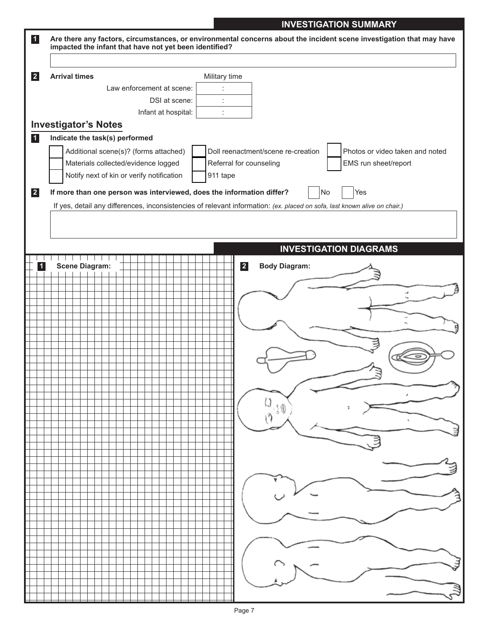### **INVESTIGATION SUMMARY**

| $\vert$ 1   |                                                                       | Are there any factors, circumstances, or environmental concerns about the incident scene investigation that may have      |
|-------------|-----------------------------------------------------------------------|---------------------------------------------------------------------------------------------------------------------------|
|             | impacted the infant that have not yet been identified?                |                                                                                                                           |
|             |                                                                       |                                                                                                                           |
| $\boxed{2}$ | <b>Arrival times</b>                                                  | Military time                                                                                                             |
|             | Law enforcement at scene:                                             |                                                                                                                           |
|             | DSI at scene:                                                         |                                                                                                                           |
|             | Infant at hospital:                                                   |                                                                                                                           |
|             | <b>Investigator's Notes</b>                                           |                                                                                                                           |
| $\vert$ 1   | Indicate the task(s) performed                                        |                                                                                                                           |
|             | Additional scene(s)? (forms attached)                                 | Doll reenactment/scene re-creation<br>Photos or video taken and noted                                                     |
|             | Materials collected/evidence logged                                   | Referral for counseling<br>EMS run sheet/report                                                                           |
|             | Notify next of kin or verify notification                             | 911 tape                                                                                                                  |
|             |                                                                       |                                                                                                                           |
| $\vert$ 2   | If more than one person was interviewed, does the information differ? | No<br>Yes                                                                                                                 |
|             |                                                                       | If yes, detail any differences, inconsistencies of relevant information: (ex. placed on sofa, last known alive on chair.) |
|             |                                                                       |                                                                                                                           |
|             |                                                                       |                                                                                                                           |
|             |                                                                       |                                                                                                                           |
|             |                                                                       | <b>INVESTIGATION DIAGRAMS</b>                                                                                             |
| $\vert$ 1   | <b>Scene Diagram:</b>                                                 | $\vert$ 2<br><b>Body Diagram:</b>                                                                                         |
|             |                                                                       |                                                                                                                           |
|             |                                                                       |                                                                                                                           |
|             |                                                                       |                                                                                                                           |
|             |                                                                       |                                                                                                                           |
|             |                                                                       |                                                                                                                           |
|             |                                                                       |                                                                                                                           |
|             |                                                                       |                                                                                                                           |
|             |                                                                       |                                                                                                                           |
|             |                                                                       |                                                                                                                           |
|             |                                                                       |                                                                                                                           |
|             |                                                                       |                                                                                                                           |
|             |                                                                       |                                                                                                                           |
|             |                                                                       |                                                                                                                           |
|             |                                                                       |                                                                                                                           |
|             |                                                                       |                                                                                                                           |
|             |                                                                       |                                                                                                                           |
|             |                                                                       |                                                                                                                           |
|             |                                                                       |                                                                                                                           |
|             |                                                                       |                                                                                                                           |
|             |                                                                       |                                                                                                                           |
|             |                                                                       |                                                                                                                           |
|             |                                                                       |                                                                                                                           |
|             |                                                                       |                                                                                                                           |
|             |                                                                       |                                                                                                                           |
|             |                                                                       |                                                                                                                           |
|             |                                                                       |                                                                                                                           |
|             |                                                                       |                                                                                                                           |
|             |                                                                       |                                                                                                                           |
|             |                                                                       |                                                                                                                           |